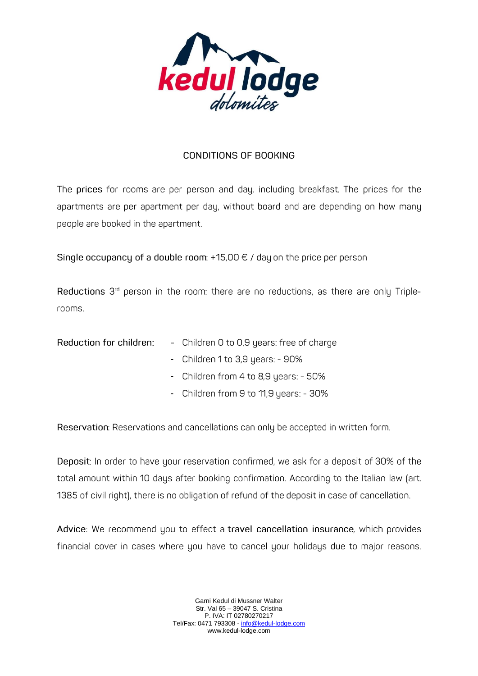

# **CONDITIONS OF BOOKING**

The prices for rooms are per person and day, including breakfast. The prices for the apartments are per apartment per day, without board and are depending on how many people are booked in the apartment.

Single occupancy of a double room:  $+15,00 \in /$  day on the price per person

Reductions 3<sup>rd</sup> person in the room: there are no reductions, as there are only Triplerooms.

| Reduction for children: |  | - Children 0 to 0,9 years: free of charge |  |
|-------------------------|--|-------------------------------------------|--|
|-------------------------|--|-------------------------------------------|--|

- Children 1 to 3,9 years: 90%
- Children from 4 to 8,9 years: 50%
- Children from 9 to 11,9 years: 30%

Reservation: Reservations and cancellations can only be accepted in written form.

Deposit: In order to have your reservation confirmed, we ask for a deposit of 30% of the total amount within 10 days after booking confirmation. According to the Italian law (art. 1385 of civil right), there is no obligation of refund of the deposit in case of cancellation.

Advice: We recommend you to effect a travel cancellation insurance, which provides financial cover in cases where you have to cancel your holidays due to major reasons.

> Garni Kedul di Mussner Walter Str. Val 65 – 39047 S. Cristina P. IVA: IT 02780270217 Tel/Fax: 0471 793308 - [info@kedul-lodge.com](mailto:info@kedul-lodge.com) www.kedul-lodge.com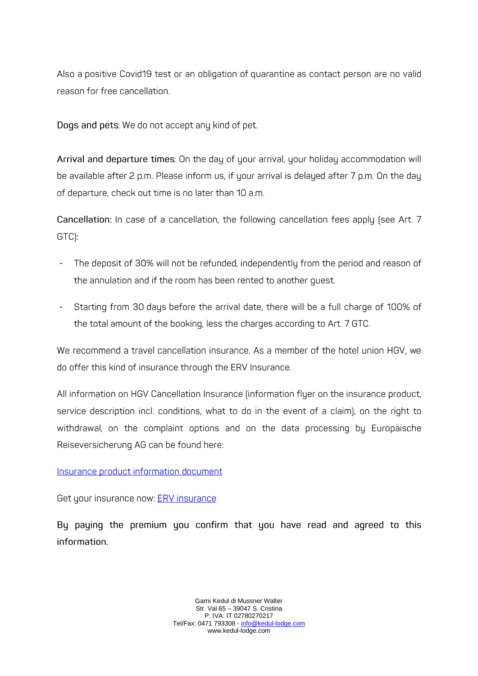Also a positive Covid19 test or an obligation of quarantine as contact person are no valid reason for free cancellation.

Dogs and pets: We do not accept any kind of pet.

Arrival and departure times: On the day of your arrival, your holiday accommodation will be available after 2 p.m. Please inform us, if your arrival is delayed after 7 p.m. On the day of departure, check out time is no later than 10 a.m.

Cancellation: In case of a cancellation, the following cancellation fees apply (see Art. 7 GTC):

- The deposit of 30% will not be refunded, independently from the period and reason of the annulation and if the room has been rented to another guest.
- -Starting from 30 days before the arrival date, there will be a full charge of 100% of the total amount of the booking, less the charges according to Art. 7 GTC.

We recommend a travel cancellation insurance. As a member of the hotel union HGV, we do offer this kind of insurance through the ERV Insurance.

All information on HGV Cancellation Insurance (information fluer on the insurance product, service description incl. conditions, what to do in the event of a claim), on the right to withdrawal, on the complaint options and on the data processing by Europäische Reiseversicherung AG can be found here:

# Insurance product information document

Get your insurance now: ERV insurance

By paying the premium you confirm that you have read and agreed to this information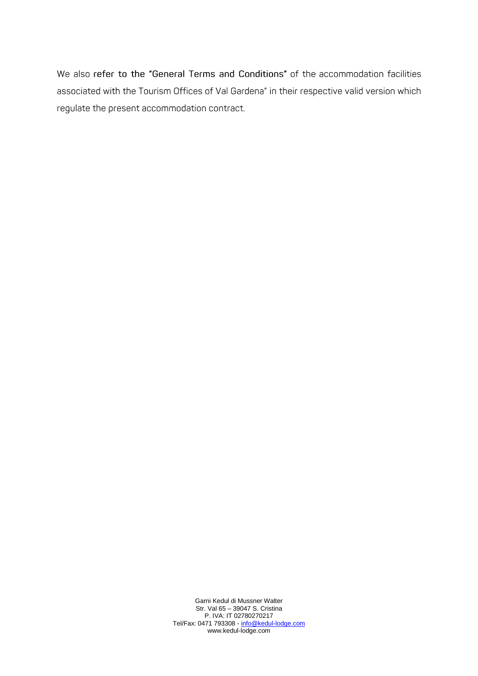We also refer to the "General Terms and Conditions" of the accommodation facilities associated with the Tourism Offices of Val Gardena" in their respective valid version which regulate the present accommodation contract.

> Garni Kedul di Mussner Walter Str. Val 65 – 39047 S. Cristina P. IVA: IT 02780270217 Tel/Fax: 0471 793308 - [info@kedul-lodge.com](mailto:info@kedul-lodge.com) www.kedul-lodge.com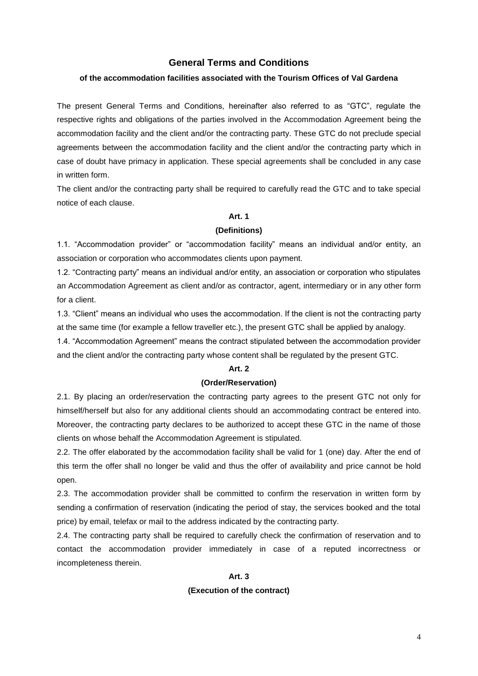# **General Terms and Conditions**

# **of the accommodation facilities associated with the Tourism Offices of Val Gardena**

The present General Terms and Conditions, hereinafter also referred to as "GTC", regulate the respective rights and obligations of the parties involved in the Accommodation Agreement being the accommodation facility and the client and/or the contracting party. These GTC do not preclude special agreements between the accommodation facility and the client and/or the contracting party which in case of doubt have primacy in application. These special agreements shall be concluded in any case in written form.

The client and/or the contracting party shall be required to carefully read the GTC and to take special notice of each clause.

# **Art. 1**

### **(Definitions)**

1.1. "Accommodation provider" or "accommodation facility" means an individual and/or entity, an association or corporation who accommodates clients upon payment.

1.2. "Contracting party" means an individual and/or entity, an association or corporation who stipulates an Accommodation Agreement as client and/or as contractor, agent, intermediary or in any other form for a client.

1.3. "Client" means an individual who uses the accommodation. If the client is not the contracting party at the same time (for example a fellow traveller etc.), the present GTC shall be applied by analogy.

1.4. "Accommodation Agreement" means the contract stipulated between the accommodation provider and the client and/or the contracting party whose content shall be regulated by the present GTC.

### **Art. 2**

# **(Order/Reservation)**

2.1. By placing an order/reservation the contracting party agrees to the present GTC not only for himself/herself but also for any additional clients should an accommodating contract be entered into. Moreover, the contracting party declares to be authorized to accept these GTC in the name of those clients on whose behalf the Accommodation Agreement is stipulated.

2.2. The offer elaborated by the accommodation facility shall be valid for 1 (one) day. After the end of this term the offer shall no longer be valid and thus the offer of availability and price cannot be hold open.

2.3. The accommodation provider shall be committed to confirm the reservation in written form by sending a confirmation of reservation (indicating the period of stay, the services booked and the total price) by email, telefax or mail to the address indicated by the contracting party.

2.4. The contracting party shall be required to carefully check the confirmation of reservation and to contact the accommodation provider immediately in case of a reputed incorrectness or incompleteness therein.

# **Art. 3 (Execution of the contract)**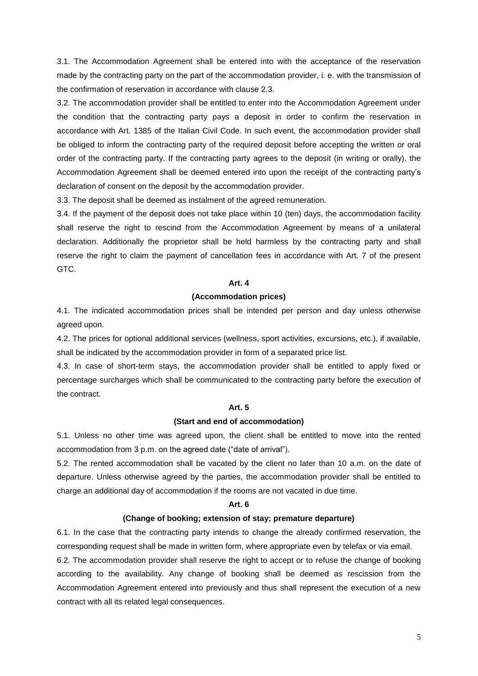3.1. The Accommodation Agreement shall be entered into with the acceptance of the reservation made by the contracting party on the part of the accommodation provider, i. e. with the transmission of the confirmation of reservation in accordance with clause 2.3.

3.2. The accommodation provider shall be entitled to enter into the Accommodation Agreement under the condition that the contracting party pays a deposit in order to confirm the reservation in accordance with Art. 1385 of the Italian Civil Code. In such event, the accommodation provider shall be obliged to inform the contracting party of the required deposit before accepting the written or oral order of the contracting party. If the contracting party agrees to the deposit (in writing or orally), the Accommodation Agreement shall be deemed entered into upon the receipt of the contracting party's declaration of consent on the deposit by the accommodation provider.

3.3. The deposit shall be deemed as instalment of the agreed remuneration.

3.4. If the payment of the deposit does not take place within 10 (ten) days, the accommodation facility shall reserve the right to rescind from the Accommodation Agreement by means of a unilateral declaration. Additionally the proprietor shall be held harmless by the contracting party and shall reserve the right to claim the payment of cancellation fees in accordance with Art. 7 of the present GTC.

### **Art. 4**

# **(Accommodation prices)**

4.1. The indicated accommodation prices shall be intended per person and day unless otherwise agreed upon.

4.2. The prices for optional additional services (wellness, sport activities, excursions, etc.), if available, shall be indicated by the accommodation provider in form of a separated price list.

4.3. In case of short-term stays, the accommodation provider shall be entitled to apply fixed or percentage surcharges which shall be communicated to the contracting party before the execution of the contract.

#### **Art. 5**

#### **(Start and end of accommodation)**

5.1. Unless no other time was agreed upon, the client shall be entitled to move into the rented accommodation from 3 p.m. on the agreed date ("date of arrival").

5.2. The rented accommodation shall be vacated by the client no later than 10 a.m. on the date of departure. Unless otherwise agreed by the parties, the accommodation provider shall be entitled to charge an additional day of accommodation if the rooms are not vacated in due time.

#### **Art. 6**

#### **(Change of booking; extension of stay; premature departure)**

6.1. In the case that the contracting party intends to change the already confirmed reservation, the corresponding request shall be made in written form, where appropriate even by telefax or via email.

6.2. The accommodation provider shall reserve the right to accept or to refuse the change of booking according to the availability. Any change of booking shall be deemed as rescission from the Accommodation Agreement entered into previously and thus shall represent the execution of a new contract with all its related legal consequences.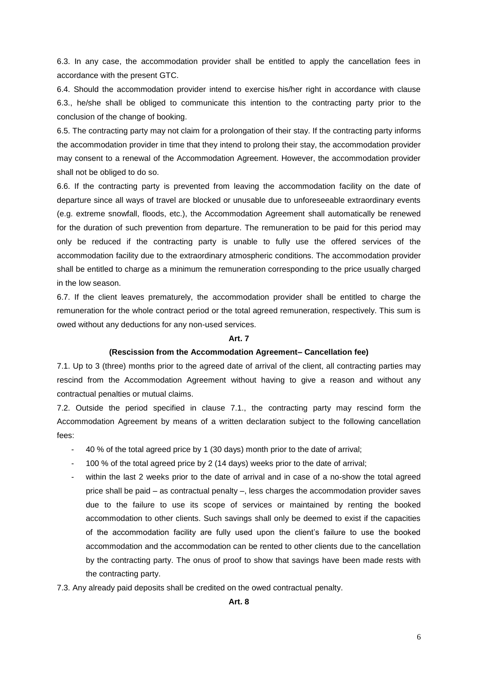6.3. In any case, the accommodation provider shall be entitled to apply the cancellation fees in accordance with the present GTC.

6.4. Should the accommodation provider intend to exercise his/her right in accordance with clause 6.3., he/she shall be obliged to communicate this intention to the contracting party prior to the conclusion of the change of booking.

6.5. The contracting party may not claim for a prolongation of their stay. If the contracting party informs the accommodation provider in time that they intend to prolong their stay, the accommodation provider may consent to a renewal of the Accommodation Agreement. However, the accommodation provider shall not be obliged to do so.

6.6. If the contracting party is prevented from leaving the accommodation facility on the date of departure since all ways of travel are blocked or unusable due to unforeseeable extraordinary events (e.g. extreme snowfall, floods, etc.), the Accommodation Agreement shall automatically be renewed for the duration of such prevention from departure. The remuneration to be paid for this period may only be reduced if the contracting party is unable to fully use the offered services of the accommodation facility due to the extraordinary atmospheric conditions. The accommodation provider shall be entitled to charge as a minimum the remuneration corresponding to the price usually charged in the low season.

6.7. If the client leaves prematurely, the accommodation provider shall be entitled to charge the remuneration for the whole contract period or the total agreed remuneration, respectively. This sum is owed without any deductions for any non-used services.

# **Art. 7**

### **(Rescission from the Accommodation Agreement– Cancellation fee)**

7.1. Up to 3 (three) months prior to the agreed date of arrival of the client, all contracting parties may rescind from the Accommodation Agreement without having to give a reason and without any contractual penalties or mutual claims.

7.2. Outside the period specified in clause 7.1., the contracting party may rescind form the Accommodation Agreement by means of a written declaration subject to the following cancellation fees:

- 40 % of the total agreed price by 1 (30 days) month prior to the date of arrival;
- 100 % of the total agreed price by 2 (14 days) weeks prior to the date of arrival;
- within the last 2 weeks prior to the date of arrival and in case of a no-show the total agreed price shall be paid – as contractual penalty –, less charges the accommodation provider saves due to the failure to use its scope of services or maintained by renting the booked accommodation to other clients. Such savings shall only be deemed to exist if the capacities of the accommodation facility are fully used upon the client's failure to use the booked accommodation and the accommodation can be rented to other clients due to the cancellation by the contracting party. The onus of proof to show that savings have been made rests with the contracting party.
- 7.3. Any already paid deposits shall be credited on the owed contractual penalty.

**Art. 8**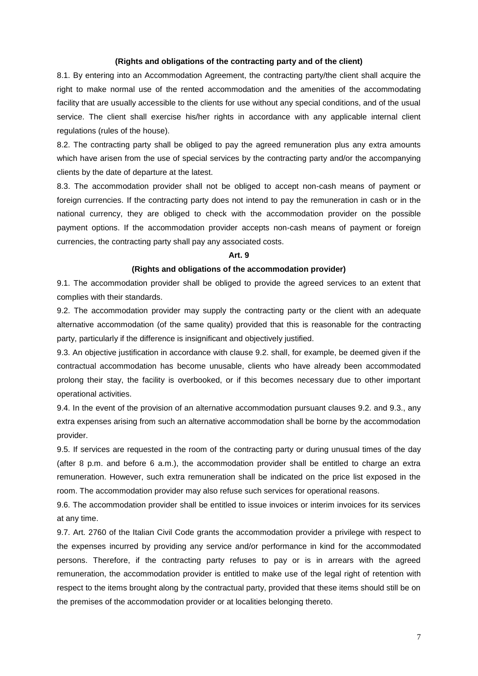#### **(Rights and obligations of the contracting party and of the client)**

8.1. By entering into an Accommodation Agreement, the contracting party/the client shall acquire the right to make normal use of the rented accommodation and the amenities of the accommodating facility that are usually accessible to the clients for use without any special conditions, and of the usual service. The client shall exercise his/her rights in accordance with any applicable internal client regulations (rules of the house).

8.2. The contracting party shall be obliged to pay the agreed remuneration plus any extra amounts which have arisen from the use of special services by the contracting party and/or the accompanying clients by the date of departure at the latest.

8.3. The accommodation provider shall not be obliged to accept non-cash means of payment or foreign currencies. If the contracting party does not intend to pay the remuneration in cash or in the national currency, they are obliged to check with the accommodation provider on the possible payment options. If the accommodation provider accepts non-cash means of payment or foreign currencies, the contracting party shall pay any associated costs.

#### **Art. 9**

# **(Rights and obligations of the accommodation provider)**

9.1. The accommodation provider shall be obliged to provide the agreed services to an extent that complies with their standards.

9.2. The accommodation provider may supply the contracting party or the client with an adequate alternative accommodation (of the same quality) provided that this is reasonable for the contracting party, particularly if the difference is insignificant and objectively justified.

9.3. An objective justification in accordance with clause 9.2. shall, for example, be deemed given if the contractual accommodation has become unusable, clients who have already been accommodated prolong their stay, the facility is overbooked, or if this becomes necessary due to other important operational activities.

9.4. In the event of the provision of an alternative accommodation pursuant clauses 9.2. and 9.3., any extra expenses arising from such an alternative accommodation shall be borne by the accommodation provider.

9.5. If services are requested in the room of the contracting party or during unusual times of the day (after 8 p.m. and before 6 a.m.), the accommodation provider shall be entitled to charge an extra remuneration. However, such extra remuneration shall be indicated on the price list exposed in the room. The accommodation provider may also refuse such services for operational reasons.

9.6. The accommodation provider shall be entitled to issue invoices or interim invoices for its services at any time.

9.7. Art. 2760 of the Italian Civil Code grants the accommodation provider a privilege with respect to the expenses incurred by providing any service and/or performance in kind for the accommodated persons. Therefore, if the contracting party refuses to pay or is in arrears with the agreed remuneration, the accommodation provider is entitled to make use of the legal right of retention with respect to the items brought along by the contractual party, provided that these items should still be on the premises of the accommodation provider or at localities belonging thereto.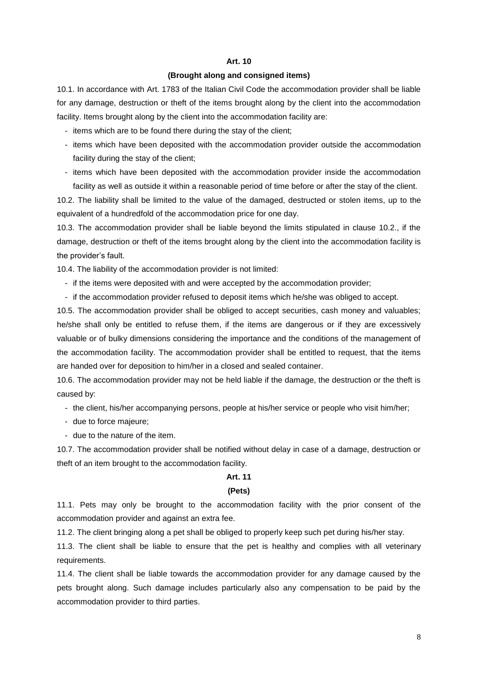### **Art. 10**

# **(Brought along and consigned items)**

10.1. In accordance with Art. 1783 of the Italian Civil Code the accommodation provider shall be liable for any damage, destruction or theft of the items brought along by the client into the accommodation facility. Items brought along by the client into the accommodation facility are:

- items which are to be found there during the stay of the client;
- items which have been deposited with the accommodation provider outside the accommodation facility during the stay of the client;
- items which have been deposited with the accommodation provider inside the accommodation facility as well as outside it within a reasonable period of time before or after the stay of the client.

10.2. The liability shall be limited to the value of the damaged, destructed or stolen items, up to the equivalent of a hundredfold of the accommodation price for one day.

10.3. The accommodation provider shall be liable beyond the limits stipulated in clause 10.2., if the damage, destruction or theft of the items brought along by the client into the accommodation facility is the provider's fault.

10.4. The liability of the accommodation provider is not limited:

- if the items were deposited with and were accepted by the accommodation provider;
- if the accommodation provider refused to deposit items which he/she was obliged to accept.

10.5. The accommodation provider shall be obliged to accept securities, cash money and valuables; he/she shall only be entitled to refuse them, if the items are dangerous or if they are excessively valuable or of bulky dimensions considering the importance and the conditions of the management of the accommodation facility. The accommodation provider shall be entitled to request, that the items are handed over for deposition to him/her in a closed and sealed container.

10.6. The accommodation provider may not be held liable if the damage, the destruction or the theft is caused by:

- the client, his/her accompanying persons, people at his/her service or people who visit him/her;
- due to force majeure;
- due to the nature of the item.

10.7. The accommodation provider shall be notified without delay in case of a damage, destruction or theft of an item brought to the accommodation facility.

#### **Art. 11**

#### **(Pets)**

11.1. Pets may only be brought to the accommodation facility with the prior consent of the accommodation provider and against an extra fee.

11.2. The client bringing along a pet shall be obliged to properly keep such pet during his/her stay.

11.3. The client shall be liable to ensure that the pet is healthy and complies with all veterinary requirements.

11.4. The client shall be liable towards the accommodation provider for any damage caused by the pets brought along. Such damage includes particularly also any compensation to be paid by the accommodation provider to third parties.